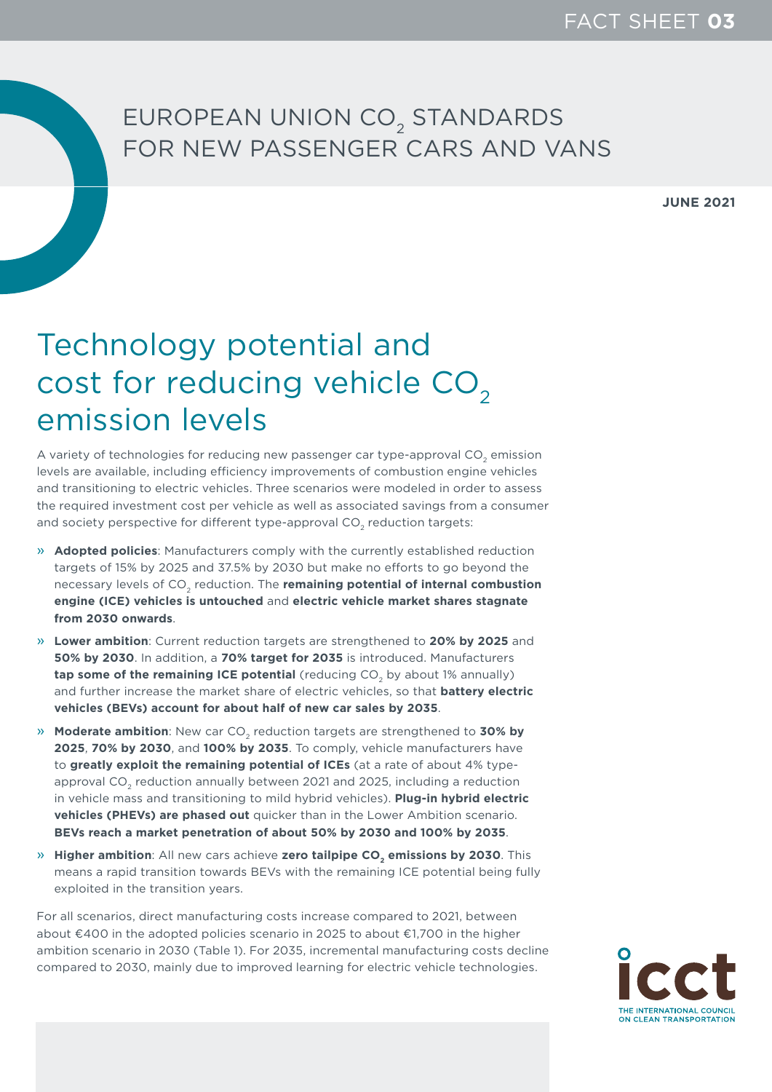## EUROPEAN UNION CO<sub>2</sub> STANDARDS FOR NEW PASSENGER CARS AND VANS

**JUNE 2021**

## Technology potential and cost for reducing vehicle CO<sub>2</sub> emission levels

A variety of technologies for reducing new passenger car type-approval CO<sub>2</sub> emission levels are available, including efficiency improvements of combustion engine vehicles and transitioning to electric vehicles. Three scenarios were modeled in order to assess the required investment cost per vehicle as well as associated savings from a consumer and society perspective for different type-approval CO<sub>2</sub> reduction targets:

- » **Adopted policies**: Manufacturers comply with the currently established reduction targets of 15% by 2025 and 37.5% by 2030 but make no efforts to go beyond the necessary levels of CO<sub>2</sub> reduction. The **remaining potential of internal combustion engine (ICE) vehicles is untouched** and **electric vehicle market shares stagnate from 2030 onwards**.
- » **Lower ambition**: Current reduction targets are strengthened to **20% by 2025** and **50% by 2030**. In addition, a **70% target for 2035** is introduced. Manufacturers **tap some of the remaining ICE potential** (reducing CO<sub>2</sub> by about 1% annually) and further increase the market share of electric vehicles, so that **battery electric vehicles (BEVs) account for about half of new car sales by 2035**.
- » **Moderate ambition**: New car CO<sub>2</sub> reduction targets are strengthened to 30% by **2025**, **70% by 2030**, and **100% by 2035**. To comply, vehicle manufacturers have to **greatly exploit the remaining potential of ICEs** (at a rate of about 4% typeapproval CO<sub>2</sub> reduction annually between 2021 and 2025, including a reduction in vehicle mass and transitioning to mild hybrid vehicles). **Plug-in hybrid electric vehicles (PHEVs) are phased out** quicker than in the Lower Ambition scenario. **BEVs reach a market penetration of about 50% by 2030 and 100% by 2035**.
- » **Higher ambition**: All new cars achieve zero tailpipe CO<sub>2</sub> emissions by 2030. This means a rapid transition towards BEVs with the remaining ICE potential being fully exploited in the transition years.

For all scenarios, direct manufacturing costs increase compared to 2021, between about €400 in the adopted policies scenario in 2025 to about €1,700 in the higher ambition scenario in 2030 (Table 1). For 2035, incremental manufacturing costs decline compared to 2030, mainly due to improved learning for electric vehicle technologies.

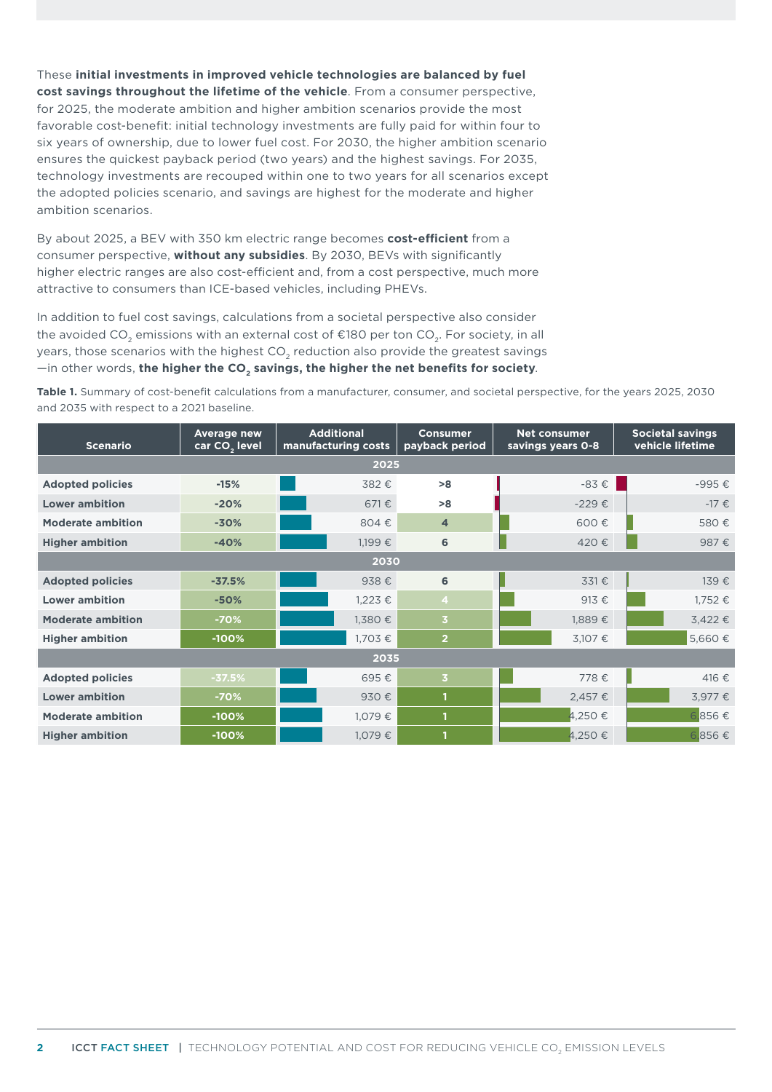These **initial investments in improved vehicle technologies are balanced by fuel cost savings throughout the lifetime of the vehicle**. From a consumer perspective, for 2025, the moderate ambition and higher ambition scenarios provide the most favorable cost-benefit: initial technology investments are fully paid for within four to six years of ownership, due to lower fuel cost. For 2030, the higher ambition scenario ensures the quickest payback period (two years) and the highest savings. For 2035, technology investments are recouped within one to two years for all scenarios except the adopted policies scenario, and savings are highest for the moderate and higher ambition scenarios.

By about 2025, a BEV with 350 km electric range becomes **cost-efficient** from a consumer perspective, **without any subsidies**. By 2030, BEVs with significantly higher electric ranges are also cost-efficient and, from a cost perspective, much more attractive to consumers than ICE-based vehicles, including PHEVs.

In addition to fuel cost savings, calculations from a societal perspective also consider the avoided CO<sub>2</sub> emissions with an external cost of  $E$ 180 per ton CO<sub>3</sub>. For society, in all years, those scenarios with the highest CO<sub>2</sub> reduction also provide the greatest savings  $-$ in other words, the higher the CO<sub>2</sub> savings, the higher the net benefits for society.

**Table 1.** Summary of cost-benefit calculations from a manufacturer, consumer, and societal perspective, for the years 2025, 2030 and 2035 with respect to a 2021 baseline.

| <b>Scenario</b>          | <b>Average new</b><br>car CO <sub>2</sub> level | <b>Additional</b><br>manufacturing costs | <b>Consumer</b><br>payback period | <b>Net consumer</b><br>savings years 0-8 | <b>Societal savings</b><br>vehicle lifetime |
|--------------------------|-------------------------------------------------|------------------------------------------|-----------------------------------|------------------------------------------|---------------------------------------------|
| 2025                     |                                                 |                                          |                                   |                                          |                                             |
| <b>Adopted policies</b>  | $-15%$                                          | 382€                                     | >8                                | $-83 \epsilon$                           | -995€                                       |
| <b>Lower ambition</b>    | $-20%$                                          | 671€                                     | >8                                | $-229€$                                  | $-17 \in$                                   |
| <b>Moderate ambition</b> | $-30%$                                          | 804€                                     | $\overline{4}$                    | 600€                                     | 580€                                        |
| <b>Higher ambition</b>   | $-40%$                                          | 1,199€                                   | 6                                 | 420€                                     | 987€                                        |
| 2030                     |                                                 |                                          |                                   |                                          |                                             |
| <b>Adopted policies</b>  | $-37.5%$                                        | 938€                                     | 6                                 | 331€                                     | 139€                                        |
| <b>Lower ambition</b>    | $-50%$                                          | $1,223 \in$                              | $\overline{4}$                    | 913€                                     | 1,752 €                                     |
| <b>Moderate ambition</b> | $-70%$                                          | 1,380€                                   | $\overline{3}$                    | 1,889€                                   | 3,422€                                      |
| <b>Higher ambition</b>   | $-100%$                                         | 1,703€                                   | $\overline{2}$                    | 3,107 €                                  | 5,660€                                      |
| 2035                     |                                                 |                                          |                                   |                                          |                                             |
| <b>Adopted policies</b>  | $-37.5%$                                        | 695€                                     | $\overline{\mathbf{3}}$           | 778€                                     | 416€                                        |
| <b>Lower ambition</b>    | $-70%$                                          | 930€                                     | n                                 | 2,457€                                   | 3,977€                                      |
| <b>Moderate ambition</b> | $-100%$                                         | 1,079€                                   | 1                                 | 4,250€                                   | 6,856€                                      |
| <b>Higher ambition</b>   | $-100%$                                         | 1,079€                                   | 1                                 | 4,250€                                   | 6,856€                                      |